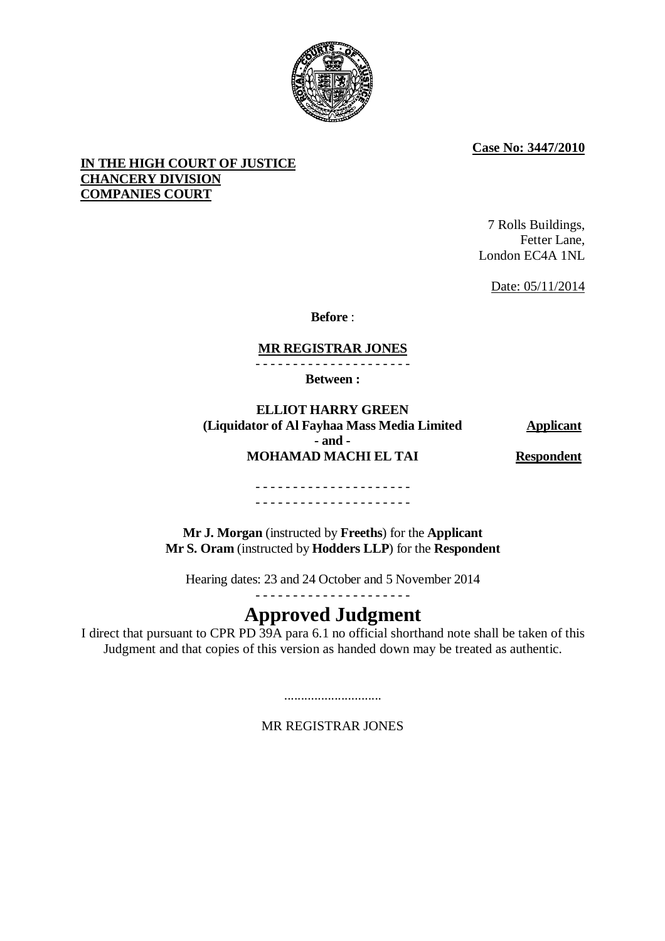

**Case No: 3447/2010**

# **IN THE HIGH COURT OF JUSTICE CHANCERY DIVISION COMPANIES COURT**

7 Rolls Buildings, Fetter Lane, London EC4A 1NL

Date: 05/11/2014

**Before** :

# **MR REGISTRAR JONES**

- - - - - - - - - - - - - - - - - - - - -

**Between :**

**ELLIOT HARRY GREEN (Liquidator of Al Fayhaa Mass Media Limited Applicant - and - MOHAMAD MACHI EL TAI Respondent** 

- - - - - - - - - - - - - - - - - - - - - - - - - - - - - - - - - - - - - - - - - -

**Mr J. Morgan** (instructed by **Freeths**) for the **Applicant Mr S. Oram** (instructed by **Hodders LLP**) for the **Respondent**

Hearing dates: 23 and 24 October and 5 November 2014 - - - - - - - - - - - - - - - - - - - - -

# **Approved Judgment**

I direct that pursuant to CPR PD 39A para 6.1 no official shorthand note shall be taken of this Judgment and that copies of this version as handed down may be treated as authentic.

MR REGISTRAR JONES

.............................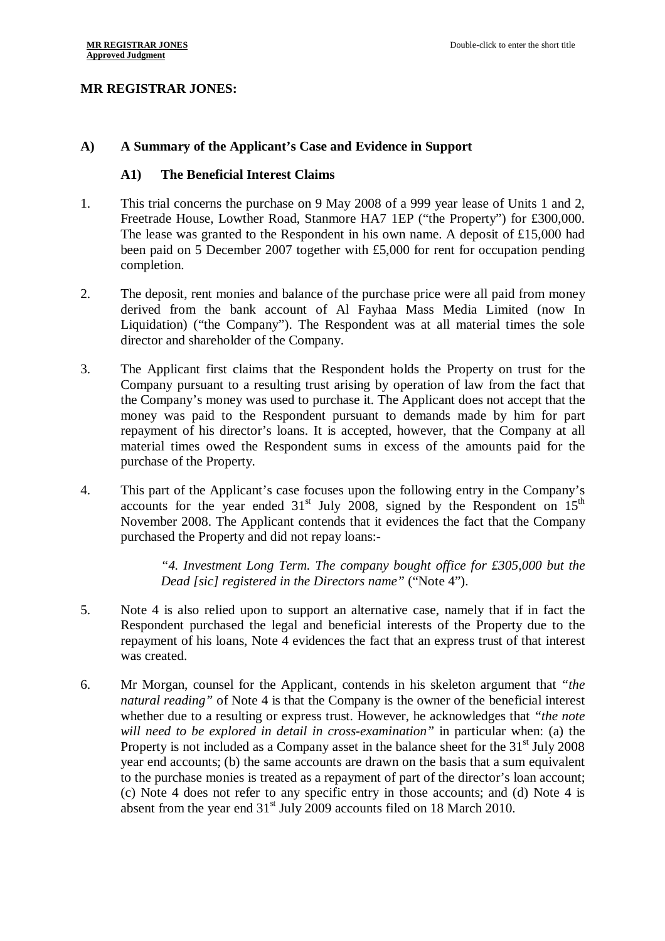### **MR REGISTRAR JONES:**

#### **A) A Summary of the Applicant's Case and Evidence in Support**

#### **A1) The Beneficial Interest Claims**

- 1. This trial concerns the purchase on 9 May 2008 of a 999 year lease of Units 1 and 2, Freetrade House, Lowther Road, Stanmore HA7 1EP ("the Property") for £300,000. The lease was granted to the Respondent in his own name. A deposit of £15,000 had been paid on 5 December 2007 together with £5,000 for rent for occupation pending completion.
- 2. The deposit, rent monies and balance of the purchase price were all paid from money derived from the bank account of Al Fayhaa Mass Media Limited (now In Liquidation) ("the Company"). The Respondent was at all material times the sole director and shareholder of the Company.
- 3. The Applicant first claims that the Respondent holds the Property on trust for the Company pursuant to a resulting trust arising by operation of law from the fact that the Company's money was used to purchase it. The Applicant does not accept that the money was paid to the Respondent pursuant to demands made by him for part repayment of his director's loans. It is accepted, however, that the Company at all material times owed the Respondent sums in excess of the amounts paid for the purchase of the Property.
- 4. This part of the Applicant's case focuses upon the following entry in the Company's accounts for the year ended  $31<sup>st</sup>$  July 2008, signed by the Respondent on  $15<sup>th</sup>$ November 2008. The Applicant contends that it evidences the fact that the Company purchased the Property and did not repay loans:-

*"4. Investment Long Term. The company bought office for £305,000 but the Dead [sic] registered in the Directors name"* ("Note 4").

- 5. Note 4 is also relied upon to support an alternative case, namely that if in fact the Respondent purchased the legal and beneficial interests of the Property due to the repayment of his loans, Note 4 evidences the fact that an express trust of that interest was created.
- 6. Mr Morgan, counsel for the Applicant, contends in his skeleton argument that *"the natural reading"* of Note 4 is that the Company is the owner of the beneficial interest whether due to a resulting or express trust. However, he acknowledges that *"the note will need to be explored in detail in cross-examination"* in particular when: (a) the Property is not included as a Company asset in the balance sheet for the  $31<sup>st</sup>$  July 2008 year end accounts; (b) the same accounts are drawn on the basis that a sum equivalent to the purchase monies is treated as a repayment of part of the director's loan account; (c) Note 4 does not refer to any specific entry in those accounts; and (d) Note 4 is absent from the year end  $31<sup>st</sup>$  July 2009 accounts filed on 18 March 2010.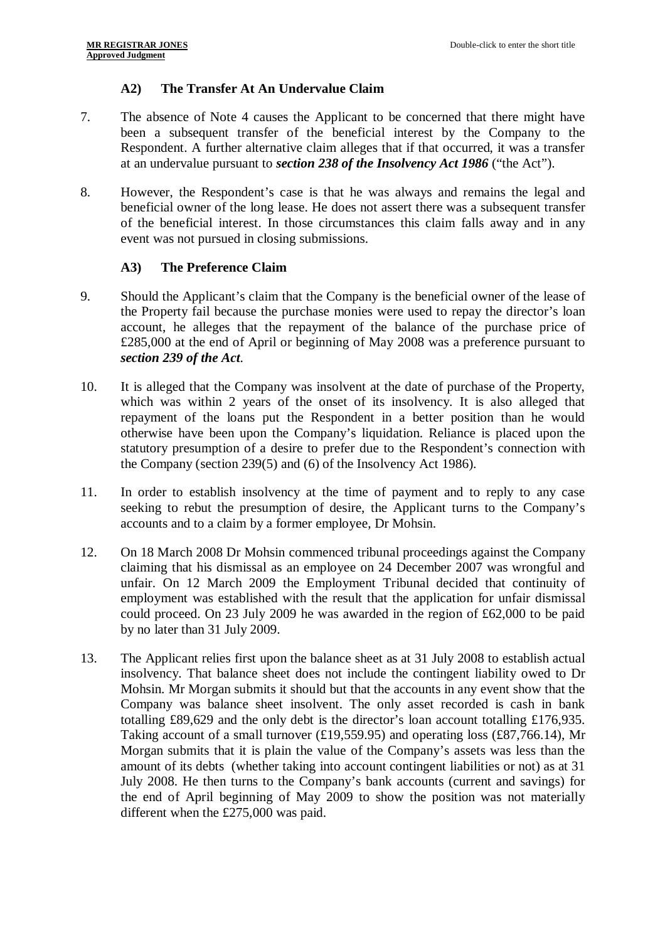# **A2) The Transfer At An Undervalue Claim**

- 7. The absence of Note 4 causes the Applicant to be concerned that there might have been a subsequent transfer of the beneficial interest by the Company to the Respondent. A further alternative claim alleges that if that occurred, it was a transfer at an undervalue pursuant to *section 238 of the Insolvency Act 1986* ("the Act").
- 8. However, the Respondent's case is that he was always and remains the legal and beneficial owner of the long lease. He does not assert there was a subsequent transfer of the beneficial interest. In those circumstances this claim falls away and in any event was not pursued in closing submissions.

# **A3) The Preference Claim**

- 9. Should the Applicant's claim that the Company is the beneficial owner of the lease of the Property fail because the purchase monies were used to repay the director's loan account, he alleges that the repayment of the balance of the purchase price of £285,000 at the end of April or beginning of May 2008 was a preference pursuant to *section 239 of the Act*.
- 10. It is alleged that the Company was insolvent at the date of purchase of the Property, which was within 2 years of the onset of its insolvency. It is also alleged that repayment of the loans put the Respondent in a better position than he would otherwise have been upon the Company's liquidation. Reliance is placed upon the statutory presumption of a desire to prefer due to the Respondent's connection with the Company (section 239(5) and (6) of the Insolvency Act 1986).
- 11. In order to establish insolvency at the time of payment and to reply to any case seeking to rebut the presumption of desire, the Applicant turns to the Company's accounts and to a claim by a former employee, Dr Mohsin.
- 12. On 18 March 2008 Dr Mohsin commenced tribunal proceedings against the Company claiming that his dismissal as an employee on 24 December 2007 was wrongful and unfair. On 12 March 2009 the Employment Tribunal decided that continuity of employment was established with the result that the application for unfair dismissal could proceed. On 23 July 2009 he was awarded in the region of £62,000 to be paid by no later than 31 July 2009.
- 13. The Applicant relies first upon the balance sheet as at 31 July 2008 to establish actual insolvency. That balance sheet does not include the contingent liability owed to Dr Mohsin. Mr Morgan submits it should but that the accounts in any event show that the Company was balance sheet insolvent. The only asset recorded is cash in bank totalling £89,629 and the only debt is the director's loan account totalling £176,935. Taking account of a small turnover (£19,559.95) and operating loss (£87,766.14), Mr Morgan submits that it is plain the value of the Company's assets was less than the amount of its debts (whether taking into account contingent liabilities or not) as at 31 July 2008. He then turns to the Company's bank accounts (current and savings) for the end of April beginning of May 2009 to show the position was not materially different when the £275,000 was paid.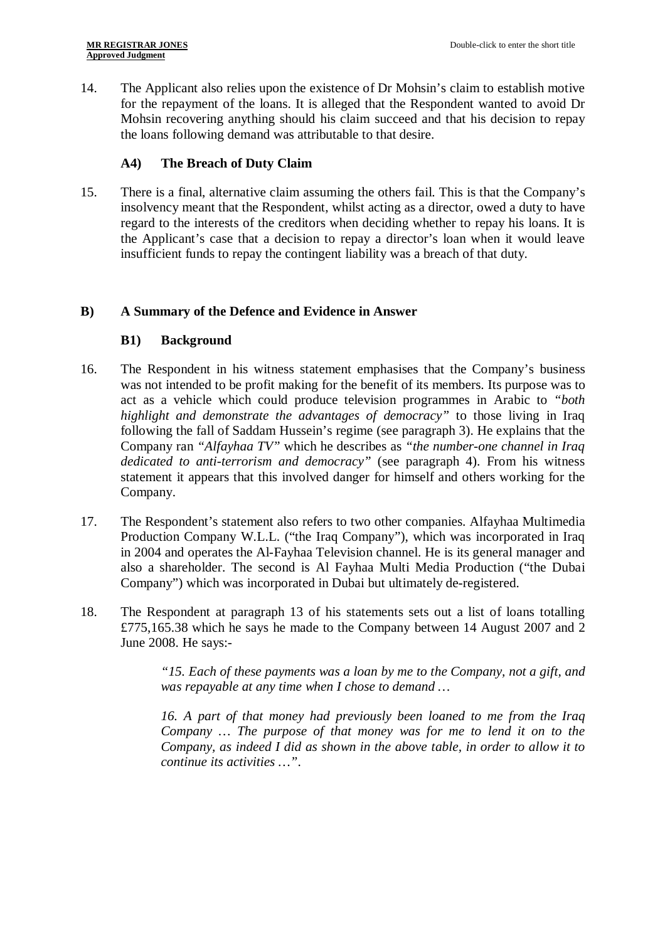14. The Applicant also relies upon the existence of Dr Mohsin's claim to establish motive for the repayment of the loans. It is alleged that the Respondent wanted to avoid Dr Mohsin recovering anything should his claim succeed and that his decision to repay the loans following demand was attributable to that desire.

### **A4) The Breach of Duty Claim**

15. There is a final, alternative claim assuming the others fail. This is that the Company's insolvency meant that the Respondent, whilst acting as a director, owed a duty to have regard to the interests of the creditors when deciding whether to repay his loans. It is the Applicant's case that a decision to repay a director's loan when it would leave insufficient funds to repay the contingent liability was a breach of that duty.

### **B) A Summary of the Defence and Evidence in Answer**

### **B1) Background**

- 16. The Respondent in his witness statement emphasises that the Company's business was not intended to be profit making for the benefit of its members. Its purpose was to act as a vehicle which could produce television programmes in Arabic to *"both highlight and demonstrate the advantages of democracy"* to those living in Iraq following the fall of Saddam Hussein's regime (see paragraph 3). He explains that the Company ran *"Alfayhaa TV"* which he describes as *"the number-one channel in Iraq dedicated to anti-terrorism and democracy"* (see paragraph 4). From his witness statement it appears that this involved danger for himself and others working for the Company.
- 17. The Respondent's statement also refers to two other companies. Alfayhaa Multimedia Production Company W.L.L. ("the Iraq Company"), which was incorporated in Iraq in 2004 and operates the Al-Fayhaa Television channel. He is its general manager and also a shareholder. The second is Al Fayhaa Multi Media Production ("the Dubai Company") which was incorporated in Dubai but ultimately de-registered.
- 18. The Respondent at paragraph 13 of his statements sets out a list of loans totalling £775,165.38 which he says he made to the Company between 14 August 2007 and 2 June 2008. He says:-

*"15. Each of these payments was a loan by me to the Company, not a gift, and was repayable at any time when I chose to demand …*

*16. A part of that money had previously been loaned to me from the Iraq Company … The purpose of that money was for me to lend it on to the Company, as indeed I did as shown in the above table, in order to allow it to continue its activities …"*.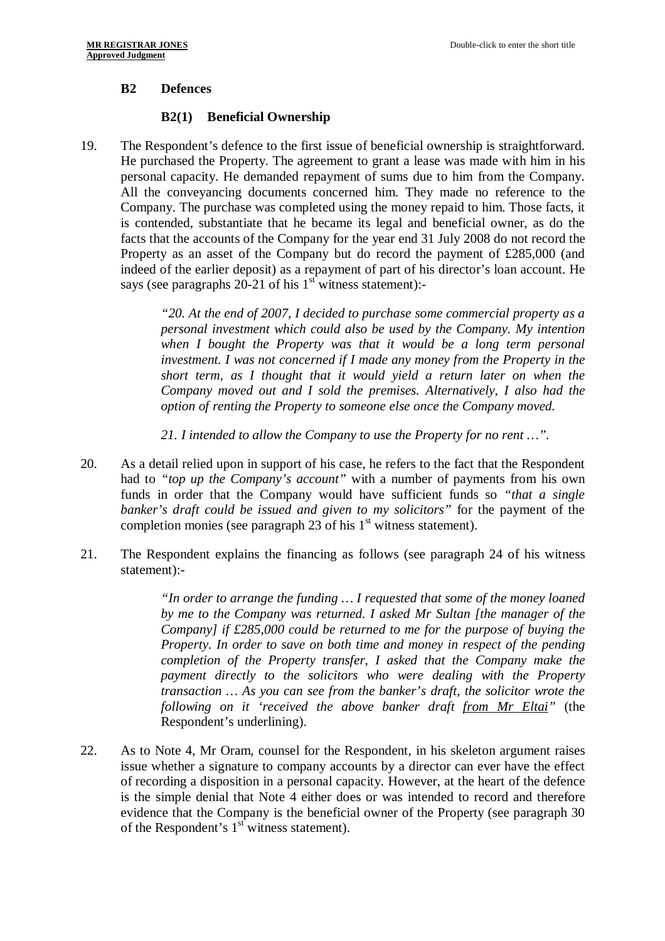### **B2 Defences**

### **B2(1) Beneficial Ownership**

19. The Respondent's defence to the first issue of beneficial ownership is straightforward. He purchased the Property. The agreement to grant a lease was made with him in his personal capacity. He demanded repayment of sums due to him from the Company. All the conveyancing documents concerned him. They made no reference to the Company. The purchase was completed using the money repaid to him. Those facts, it is contended, substantiate that he became its legal and beneficial owner, as do the facts that the accounts of the Company for the year end 31 July 2008 do not record the Property as an asset of the Company but do record the payment of £285,000 (and indeed of the earlier deposit) as a repayment of part of his director's loan account. He says (see paragraphs 20-21 of his  $1<sup>st</sup>$  witness statement):-

> *"20. At the end of 2007, I decided to purchase some commercial property as a personal investment which could also be used by the Company. My intention when I bought the Property was that it would be a long term personal investment. I was not concerned if I made any money from the Property in the short term, as I thought that it would yield a return later on when the Company moved out and I sold the premises. Alternatively, I also had the option of renting the Property to someone else once the Company moved.*

*21. I intended to allow the Company to use the Property for no rent …"*.

- 20. As a detail relied upon in support of his case, he refers to the fact that the Respondent had to *"top up the Company's account"* with a number of payments from his own funds in order that the Company would have sufficient funds so *"that a single banker's draft could be issued and given to my solicitors"* for the payment of the completion monies (see paragraph 23 of his  $1<sup>st</sup>$  witness statement).
- 21. The Respondent explains the financing as follows (see paragraph 24 of his witness statement):-

*"In order to arrange the funding … I requested that some of the money loaned by me to the Company was returned. I asked Mr Sultan [the manager of the Company] if £285,000 could be returned to me for the purpose of buying the Property. In order to save on both time and money in respect of the pending completion of the Property transfer, I asked that the Company make the payment directly to the solicitors who were dealing with the Property transaction … As you can see from the banker's draft, the solicitor wrote the following on it 'received the above banker draft from Mr Eltai"* (the Respondent's underlining).

22. As to Note 4, Mr Oram, counsel for the Respondent, in his skeleton argument raises issue whether a signature to company accounts by a director can ever have the effect of recording a disposition in a personal capacity. However, at the heart of the defence is the simple denial that Note 4 either does or was intended to record and therefore evidence that the Company is the beneficial owner of the Property (see paragraph 30 of the Respondent's  $1<sup>st</sup>$  witness statement).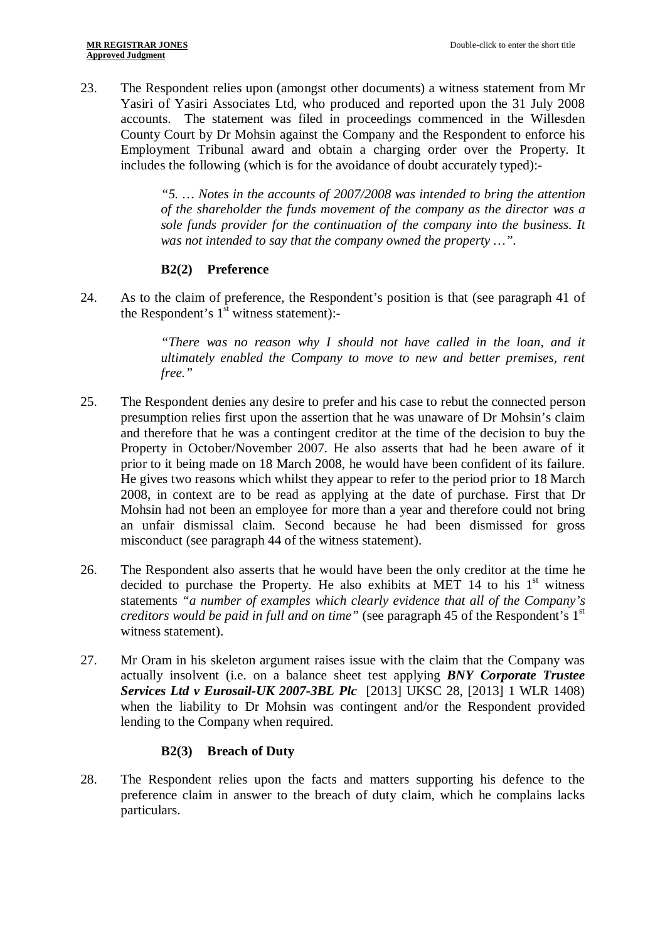23. The Respondent relies upon (amongst other documents) a witness statement from Mr Yasiri of Yasiri Associates Ltd, who produced and reported upon the 31 July 2008 accounts. The statement was filed in proceedings commenced in the Willesden County Court by Dr Mohsin against the Company and the Respondent to enforce his Employment Tribunal award and obtain a charging order over the Property. It includes the following (which is for the avoidance of doubt accurately typed):-

> *"5. … Notes in the accounts of 2007/2008 was intended to bring the attention of the shareholder the funds movement of the company as the director was a sole funds provider for the continuation of the company into the business. It was not intended to say that the company owned the property …"*.

# **B2(2) Preference**

24. As to the claim of preference, the Respondent's position is that (see paragraph 41 of the Respondent's  $1^{\text{st}}$  witness statement):-

> *"There was no reason why I should not have called in the loan, and it ultimately enabled the Company to move to new and better premises, rent free."*

- 25. The Respondent denies any desire to prefer and his case to rebut the connected person presumption relies first upon the assertion that he was unaware of Dr Mohsin's claim and therefore that he was a contingent creditor at the time of the decision to buy the Property in October/November 2007. He also asserts that had he been aware of it prior to it being made on 18 March 2008, he would have been confident of its failure. He gives two reasons which whilst they appear to refer to the period prior to 18 March 2008, in context are to be read as applying at the date of purchase. First that Dr Mohsin had not been an employee for more than a year and therefore could not bring an unfair dismissal claim. Second because he had been dismissed for gross misconduct (see paragraph 44 of the witness statement).
- 26. The Respondent also asserts that he would have been the only creditor at the time he decided to purchase the Property. He also exhibits at MET 14 to his  $1<sup>st</sup>$  witness statements *"a number of examples which clearly evidence that all of the Company's creditors would be paid in full and on time*" (see paragraph 45 of the Respondent's 1<sup>st</sup> witness statement).
- 27. Mr Oram in his skeleton argument raises issue with the claim that the Company was actually insolvent (i.e. on a balance sheet test applying *BNY Corporate Trustee Services Ltd v Eurosail-UK 2007-3BL Plc* [2013] UKSC 28, [2013] 1 WLR 1408) when the liability to Dr Mohsin was contingent and/or the Respondent provided lending to the Company when required.

### **B2(3) Breach of Duty**

28. The Respondent relies upon the facts and matters supporting his defence to the preference claim in answer to the breach of duty claim, which he complains lacks particulars.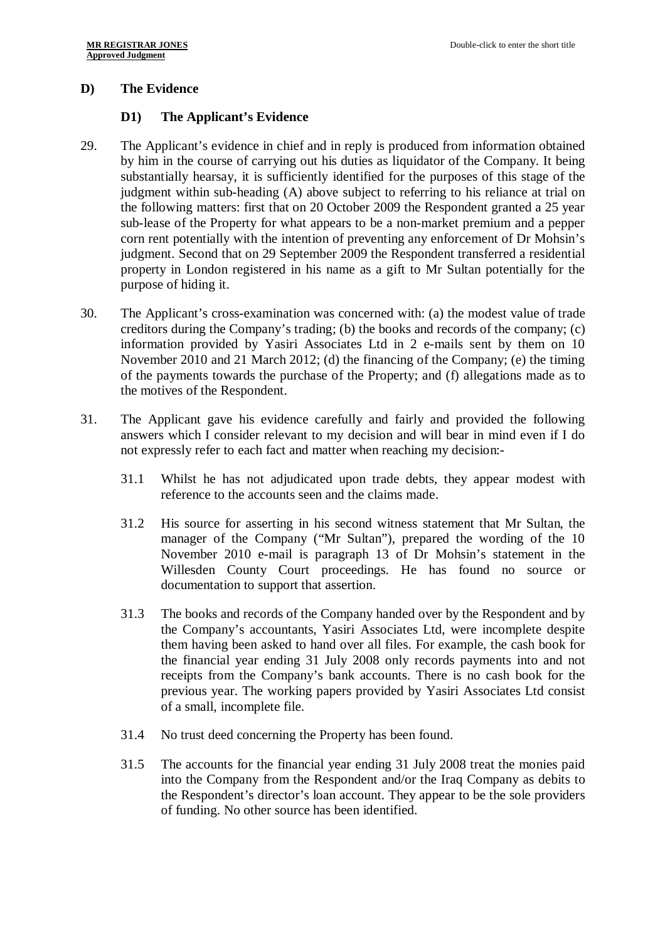### **D) The Evidence**

#### **D1) The Applicant's Evidence**

- 29. The Applicant's evidence in chief and in reply is produced from information obtained by him in the course of carrying out his duties as liquidator of the Company. It being substantially hearsay, it is sufficiently identified for the purposes of this stage of the judgment within sub-heading (A) above subject to referring to his reliance at trial on the following matters: first that on 20 October 2009 the Respondent granted a 25 year sub-lease of the Property for what appears to be a non-market premium and a pepper corn rent potentially with the intention of preventing any enforcement of Dr Mohsin's judgment. Second that on 29 September 2009 the Respondent transferred a residential property in London registered in his name as a gift to Mr Sultan potentially for the purpose of hiding it.
- 30. The Applicant's cross-examination was concerned with: (a) the modest value of trade creditors during the Company's trading; (b) the books and records of the company; (c) information provided by Yasiri Associates Ltd in 2 e-mails sent by them on 10 November 2010 and 21 March 2012; (d) the financing of the Company; (e) the timing of the payments towards the purchase of the Property; and (f) allegations made as to the motives of the Respondent.
- 31. The Applicant gave his evidence carefully and fairly and provided the following answers which I consider relevant to my decision and will bear in mind even if I do not expressly refer to each fact and matter when reaching my decision:-
	- 31.1 Whilst he has not adjudicated upon trade debts, they appear modest with reference to the accounts seen and the claims made.
	- 31.2 His source for asserting in his second witness statement that Mr Sultan, the manager of the Company ("Mr Sultan"), prepared the wording of the 10 November 2010 e-mail is paragraph 13 of Dr Mohsin's statement in the Willesden County Court proceedings. He has found no source or documentation to support that assertion.
	- 31.3 The books and records of the Company handed over by the Respondent and by the Company's accountants, Yasiri Associates Ltd, were incomplete despite them having been asked to hand over all files. For example, the cash book for the financial year ending 31 July 2008 only records payments into and not receipts from the Company's bank accounts. There is no cash book for the previous year. The working papers provided by Yasiri Associates Ltd consist of a small, incomplete file.
	- 31.4 No trust deed concerning the Property has been found.
	- 31.5 The accounts for the financial year ending 31 July 2008 treat the monies paid into the Company from the Respondent and/or the Iraq Company as debits to the Respondent's director's loan account. They appear to be the sole providers of funding. No other source has been identified.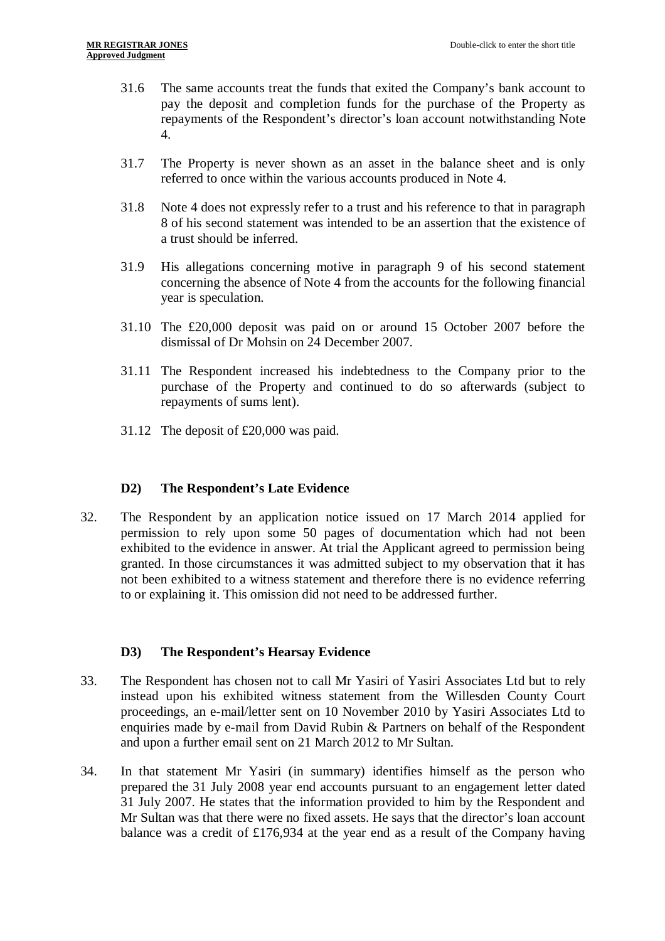- 31.6 The same accounts treat the funds that exited the Company's bank account to pay the deposit and completion funds for the purchase of the Property as repayments of the Respondent's director's loan account notwithstanding Note 4.
- 31.7 The Property is never shown as an asset in the balance sheet and is only referred to once within the various accounts produced in Note 4.
- 31.8 Note 4 does not expressly refer to a trust and his reference to that in paragraph 8 of his second statement was intended to be an assertion that the existence of a trust should be inferred.
- 31.9 His allegations concerning motive in paragraph 9 of his second statement concerning the absence of Note 4 from the accounts for the following financial year is speculation.
- 31.10 The £20,000 deposit was paid on or around 15 October 2007 before the dismissal of Dr Mohsin on 24 December 2007.
- 31.11 The Respondent increased his indebtedness to the Company prior to the purchase of the Property and continued to do so afterwards (subject to repayments of sums lent).
- 31.12 The deposit of £20,000 was paid.

### **D2) The Respondent's Late Evidence**

32. The Respondent by an application notice issued on 17 March 2014 applied for permission to rely upon some 50 pages of documentation which had not been exhibited to the evidence in answer. At trial the Applicant agreed to permission being granted. In those circumstances it was admitted subject to my observation that it has not been exhibited to a witness statement and therefore there is no evidence referring to or explaining it. This omission did not need to be addressed further.

### **D3) The Respondent's Hearsay Evidence**

- 33. The Respondent has chosen not to call Mr Yasiri of Yasiri Associates Ltd but to rely instead upon his exhibited witness statement from the Willesden County Court proceedings, an e-mail/letter sent on 10 November 2010 by Yasiri Associates Ltd to enquiries made by e-mail from David Rubin & Partners on behalf of the Respondent and upon a further email sent on 21 March 2012 to Mr Sultan.
- 34. In that statement Mr Yasiri (in summary) identifies himself as the person who prepared the 31 July 2008 year end accounts pursuant to an engagement letter dated 31 July 2007. He states that the information provided to him by the Respondent and Mr Sultan was that there were no fixed assets. He says that the director's loan account balance was a credit of £176,934 at the year end as a result of the Company having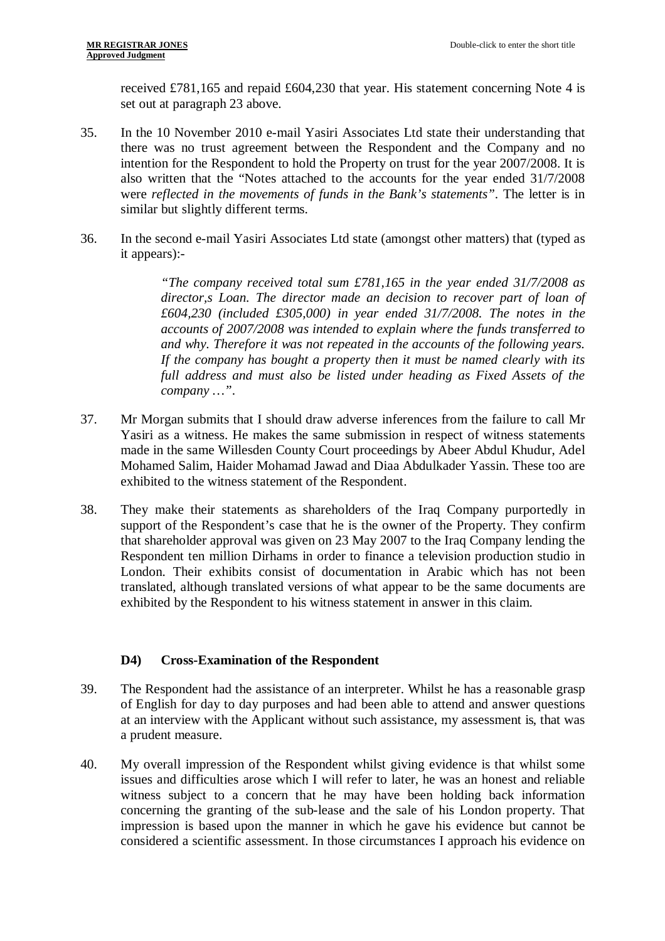received £781,165 and repaid £604,230 that year. His statement concerning Note 4 is set out at paragraph 23 above.

- 35. In the 10 November 2010 e-mail Yasiri Associates Ltd state their understanding that there was no trust agreement between the Respondent and the Company and no intention for the Respondent to hold the Property on trust for the year 2007/2008. It is also written that the "Notes attached to the accounts for the year ended 31/7/2008 were *reflected in the movements of funds in the Bank's statements"*. The letter is in similar but slightly different terms.
- 36. In the second e-mail Yasiri Associates Ltd state (amongst other matters) that (typed as it appears):-

*"The company received total sum £781,165 in the year ended 31/7/2008 as director,s Loan. The director made an decision to recover part of loan of £604,230 (included £305,000) in year ended 31/7/2008. The notes in the accounts of 2007/2008 was intended to explain where the funds transferred to and why. Therefore it was not repeated in the accounts of the following years. If the company has bought a property then it must be named clearly with its full address and must also be listed under heading as Fixed Assets of the company …"*.

- 37. Mr Morgan submits that I should draw adverse inferences from the failure to call Mr Yasiri as a witness. He makes the same submission in respect of witness statements made in the same Willesden County Court proceedings by Abeer Abdul Khudur, Adel Mohamed Salim, Haider Mohamad Jawad and Diaa Abdulkader Yassin. These too are exhibited to the witness statement of the Respondent.
- 38. They make their statements as shareholders of the Iraq Company purportedly in support of the Respondent's case that he is the owner of the Property. They confirm that shareholder approval was given on 23 May 2007 to the Iraq Company lending the Respondent ten million Dirhams in order to finance a television production studio in London. Their exhibits consist of documentation in Arabic which has not been translated, although translated versions of what appear to be the same documents are exhibited by the Respondent to his witness statement in answer in this claim.

### **D4) Cross-Examination of the Respondent**

- 39. The Respondent had the assistance of an interpreter. Whilst he has a reasonable grasp of English for day to day purposes and had been able to attend and answer questions at an interview with the Applicant without such assistance, my assessment is, that was a prudent measure.
- 40. My overall impression of the Respondent whilst giving evidence is that whilst some issues and difficulties arose which I will refer to later, he was an honest and reliable witness subject to a concern that he may have been holding back information concerning the granting of the sub-lease and the sale of his London property. That impression is based upon the manner in which he gave his evidence but cannot be considered a scientific assessment. In those circumstances I approach his evidence on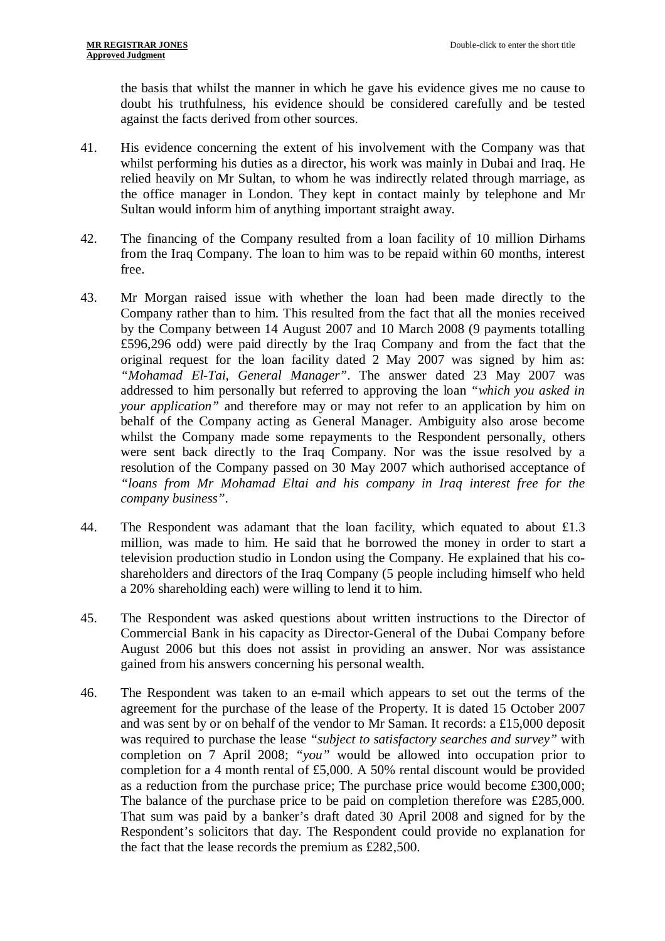the basis that whilst the manner in which he gave his evidence gives me no cause to doubt his truthfulness, his evidence should be considered carefully and be tested against the facts derived from other sources.

- 41. His evidence concerning the extent of his involvement with the Company was that whilst performing his duties as a director, his work was mainly in Dubai and Iraq. He relied heavily on Mr Sultan, to whom he was indirectly related through marriage, as the office manager in London. They kept in contact mainly by telephone and Mr Sultan would inform him of anything important straight away.
- 42. The financing of the Company resulted from a loan facility of 10 million Dirhams from the Iraq Company. The loan to him was to be repaid within 60 months, interest free.
- 43. Mr Morgan raised issue with whether the loan had been made directly to the Company rather than to him. This resulted from the fact that all the monies received by the Company between 14 August 2007 and 10 March 2008 (9 payments totalling £596,296 odd) were paid directly by the Iraq Company and from the fact that the original request for the loan facility dated 2 May 2007 was signed by him as: *"Mohamad El-Tai, General Manager"*. The answer dated 23 May 2007 was addressed to him personally but referred to approving the loan *"which you asked in your application"* and therefore may or may not refer to an application by him on behalf of the Company acting as General Manager. Ambiguity also arose become whilst the Company made some repayments to the Respondent personally, others were sent back directly to the Iraq Company. Nor was the issue resolved by a resolution of the Company passed on 30 May 2007 which authorised acceptance of *"loans from Mr Mohamad Eltai and his company in Iraq interest free for the company business"*.
- 44. The Respondent was adamant that the loan facility, which equated to about £1.3 million, was made to him. He said that he borrowed the money in order to start a television production studio in London using the Company. He explained that his coshareholders and directors of the Iraq Company (5 people including himself who held a 20% shareholding each) were willing to lend it to him.
- 45. The Respondent was asked questions about written instructions to the Director of Commercial Bank in his capacity as Director-General of the Dubai Company before August 2006 but this does not assist in providing an answer. Nor was assistance gained from his answers concerning his personal wealth.
- 46. The Respondent was taken to an e-mail which appears to set out the terms of the agreement for the purchase of the lease of the Property. It is dated 15 October 2007 and was sent by or on behalf of the vendor to Mr Saman. It records: a £15,000 deposit was required to purchase the lease *"subject to satisfactory searches and survey"* with completion on 7 April 2008; *"you"* would be allowed into occupation prior to completion for a 4 month rental of £5,000. A 50% rental discount would be provided as a reduction from the purchase price; The purchase price would become £300,000; The balance of the purchase price to be paid on completion therefore was £285,000. That sum was paid by a banker's draft dated 30 April 2008 and signed for by the Respondent's solicitors that day. The Respondent could provide no explanation for the fact that the lease records the premium as £282,500.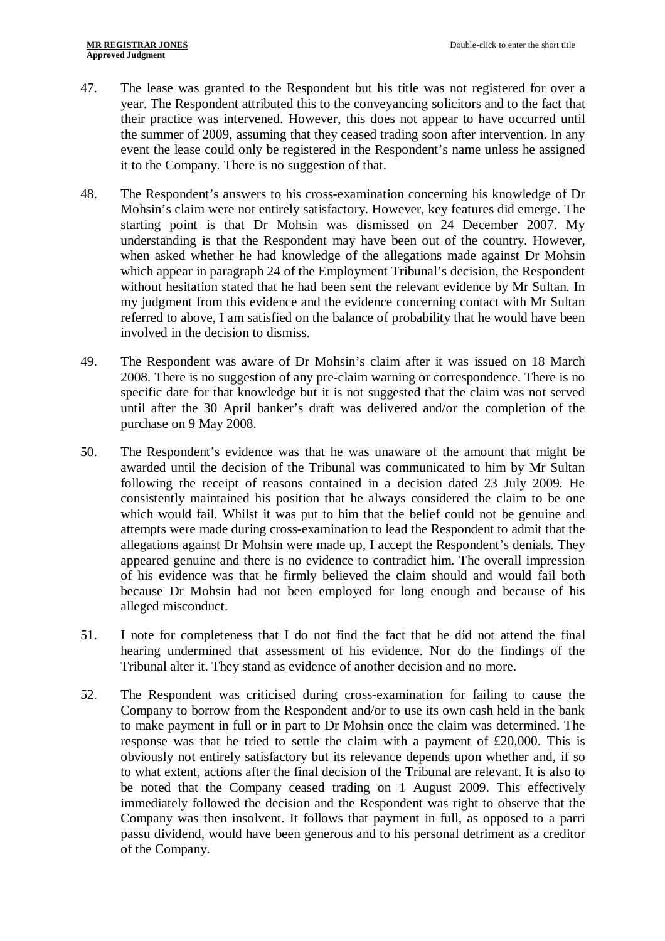- 47. The lease was granted to the Respondent but his title was not registered for over a year. The Respondent attributed this to the conveyancing solicitors and to the fact that their practice was intervened. However, this does not appear to have occurred until the summer of 2009, assuming that they ceased trading soon after intervention. In any event the lease could only be registered in the Respondent's name unless he assigned it to the Company. There is no suggestion of that.
- 48. The Respondent's answers to his cross-examination concerning his knowledge of Dr Mohsin's claim were not entirely satisfactory. However, key features did emerge. The starting point is that Dr Mohsin was dismissed on 24 December 2007. My understanding is that the Respondent may have been out of the country. However, when asked whether he had knowledge of the allegations made against Dr Mohsin which appear in paragraph 24 of the Employment Tribunal's decision, the Respondent without hesitation stated that he had been sent the relevant evidence by Mr Sultan. In my judgment from this evidence and the evidence concerning contact with Mr Sultan referred to above, I am satisfied on the balance of probability that he would have been involved in the decision to dismiss.
- 49. The Respondent was aware of Dr Mohsin's claim after it was issued on 18 March 2008. There is no suggestion of any pre-claim warning or correspondence. There is no specific date for that knowledge but it is not suggested that the claim was not served until after the 30 April banker's draft was delivered and/or the completion of the purchase on 9 May 2008.
- 50. The Respondent's evidence was that he was unaware of the amount that might be awarded until the decision of the Tribunal was communicated to him by Mr Sultan following the receipt of reasons contained in a decision dated 23 July 2009. He consistently maintained his position that he always considered the claim to be one which would fail. Whilst it was put to him that the belief could not be genuine and attempts were made during cross-examination to lead the Respondent to admit that the allegations against Dr Mohsin were made up, I accept the Respondent's denials. They appeared genuine and there is no evidence to contradict him. The overall impression of his evidence was that he firmly believed the claim should and would fail both because Dr Mohsin had not been employed for long enough and because of his alleged misconduct.
- 51. I note for completeness that I do not find the fact that he did not attend the final hearing undermined that assessment of his evidence. Nor do the findings of the Tribunal alter it. They stand as evidence of another decision and no more.
- 52. The Respondent was criticised during cross-examination for failing to cause the Company to borrow from the Respondent and/or to use its own cash held in the bank to make payment in full or in part to Dr Mohsin once the claim was determined. The response was that he tried to settle the claim with a payment of £20,000. This is obviously not entirely satisfactory but its relevance depends upon whether and, if so to what extent, actions after the final decision of the Tribunal are relevant. It is also to be noted that the Company ceased trading on 1 August 2009. This effectively immediately followed the decision and the Respondent was right to observe that the Company was then insolvent. It follows that payment in full, as opposed to a parri passu dividend, would have been generous and to his personal detriment as a creditor of the Company.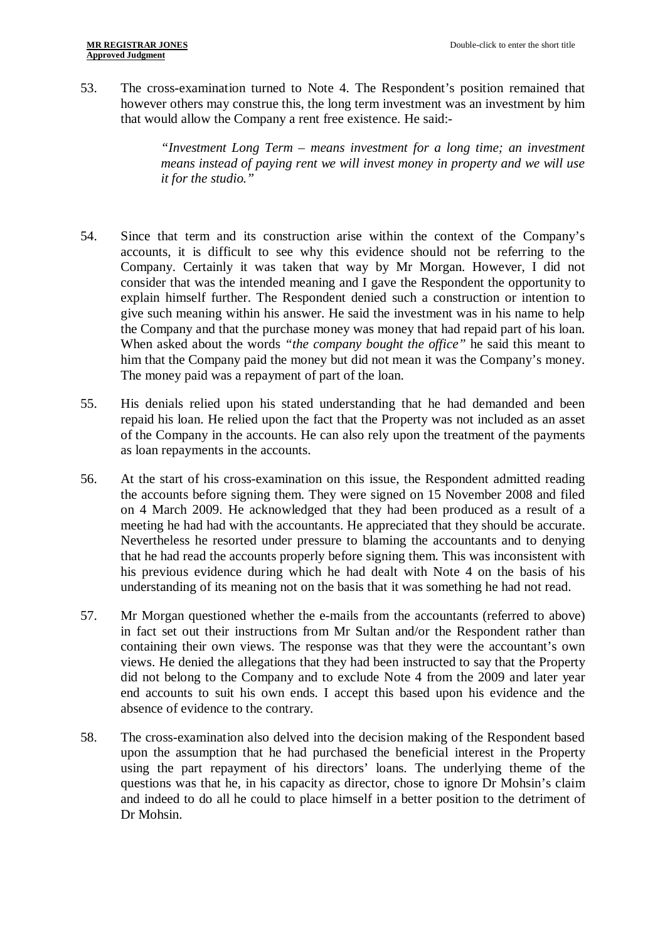53. The cross-examination turned to Note 4. The Respondent's position remained that however others may construe this, the long term investment was an investment by him that would allow the Company a rent free existence. He said:-

> *"Investment Long Term – means investment for a long time; an investment means instead of paying rent we will invest money in property and we will use it for the studio."*

- 54. Since that term and its construction arise within the context of the Company's accounts, it is difficult to see why this evidence should not be referring to the Company. Certainly it was taken that way by Mr Morgan. However, I did not consider that was the intended meaning and I gave the Respondent the opportunity to explain himself further. The Respondent denied such a construction or intention to give such meaning within his answer. He said the investment was in his name to help the Company and that the purchase money was money that had repaid part of his loan. When asked about the words *"the company bought the office"* he said this meant to him that the Company paid the money but did not mean it was the Company's money. The money paid was a repayment of part of the loan.
- 55. His denials relied upon his stated understanding that he had demanded and been repaid his loan. He relied upon the fact that the Property was not included as an asset of the Company in the accounts. He can also rely upon the treatment of the payments as loan repayments in the accounts.
- 56. At the start of his cross-examination on this issue, the Respondent admitted reading the accounts before signing them. They were signed on 15 November 2008 and filed on 4 March 2009. He acknowledged that they had been produced as a result of a meeting he had had with the accountants. He appreciated that they should be accurate. Nevertheless he resorted under pressure to blaming the accountants and to denying that he had read the accounts properly before signing them. This was inconsistent with his previous evidence during which he had dealt with Note 4 on the basis of his understanding of its meaning not on the basis that it was something he had not read.
- 57. Mr Morgan questioned whether the e-mails from the accountants (referred to above) in fact set out their instructions from Mr Sultan and/or the Respondent rather than containing their own views. The response was that they were the accountant's own views. He denied the allegations that they had been instructed to say that the Property did not belong to the Company and to exclude Note 4 from the 2009 and later year end accounts to suit his own ends. I accept this based upon his evidence and the absence of evidence to the contrary.
- 58. The cross-examination also delved into the decision making of the Respondent based upon the assumption that he had purchased the beneficial interest in the Property using the part repayment of his directors' loans. The underlying theme of the questions was that he, in his capacity as director, chose to ignore Dr Mohsin's claim and indeed to do all he could to place himself in a better position to the detriment of Dr Mohsin.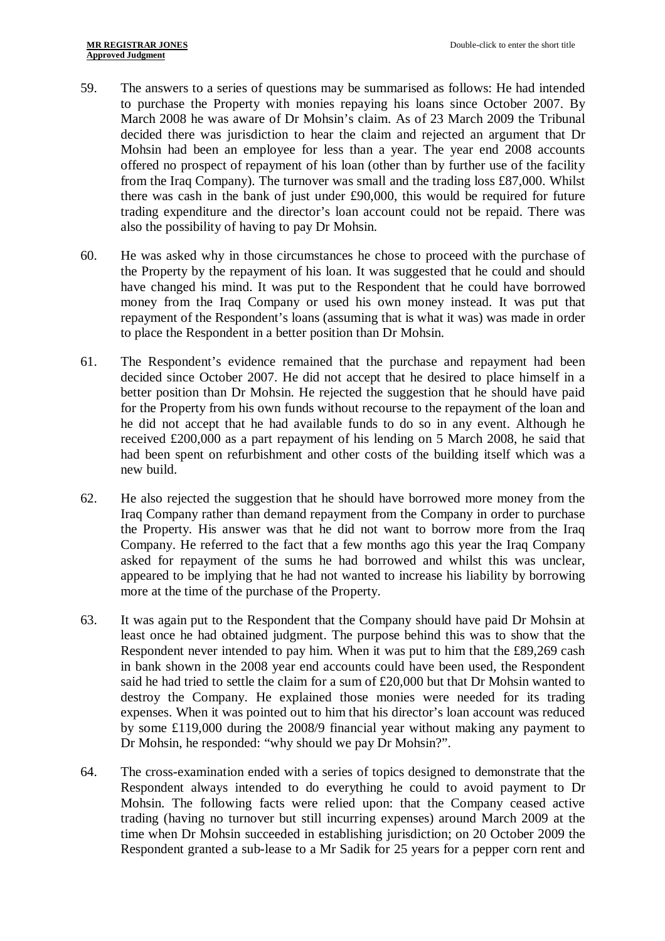- 59. The answers to a series of questions may be summarised as follows: He had intended to purchase the Property with monies repaying his loans since October 2007. By March 2008 he was aware of Dr Mohsin's claim. As of 23 March 2009 the Tribunal decided there was jurisdiction to hear the claim and rejected an argument that Dr Mohsin had been an employee for less than a year. The year end 2008 accounts offered no prospect of repayment of his loan (other than by further use of the facility from the Iraq Company). The turnover was small and the trading loss £87,000. Whilst there was cash in the bank of just under £90,000, this would be required for future trading expenditure and the director's loan account could not be repaid. There was also the possibility of having to pay Dr Mohsin.
- 60. He was asked why in those circumstances he chose to proceed with the purchase of the Property by the repayment of his loan. It was suggested that he could and should have changed his mind. It was put to the Respondent that he could have borrowed money from the Iraq Company or used his own money instead. It was put that repayment of the Respondent's loans (assuming that is what it was) was made in order to place the Respondent in a better position than Dr Mohsin.
- 61. The Respondent's evidence remained that the purchase and repayment had been decided since October 2007. He did not accept that he desired to place himself in a better position than Dr Mohsin. He rejected the suggestion that he should have paid for the Property from his own funds without recourse to the repayment of the loan and he did not accept that he had available funds to do so in any event. Although he received £200,000 as a part repayment of his lending on 5 March 2008, he said that had been spent on refurbishment and other costs of the building itself which was a new build.
- 62. He also rejected the suggestion that he should have borrowed more money from the Iraq Company rather than demand repayment from the Company in order to purchase the Property. His answer was that he did not want to borrow more from the Iraq Company. He referred to the fact that a few months ago this year the Iraq Company asked for repayment of the sums he had borrowed and whilst this was unclear, appeared to be implying that he had not wanted to increase his liability by borrowing more at the time of the purchase of the Property.
- 63. It was again put to the Respondent that the Company should have paid Dr Mohsin at least once he had obtained judgment. The purpose behind this was to show that the Respondent never intended to pay him. When it was put to him that the £89,269 cash in bank shown in the 2008 year end accounts could have been used, the Respondent said he had tried to settle the claim for a sum of £20,000 but that Dr Mohsin wanted to destroy the Company. He explained those monies were needed for its trading expenses. When it was pointed out to him that his director's loan account was reduced by some £119,000 during the 2008/9 financial year without making any payment to Dr Mohsin, he responded: "why should we pay Dr Mohsin?".
- 64. The cross-examination ended with a series of topics designed to demonstrate that the Respondent always intended to do everything he could to avoid payment to Dr Mohsin. The following facts were relied upon: that the Company ceased active trading (having no turnover but still incurring expenses) around March 2009 at the time when Dr Mohsin succeeded in establishing jurisdiction; on 20 October 2009 the Respondent granted a sub-lease to a Mr Sadik for 25 years for a pepper corn rent and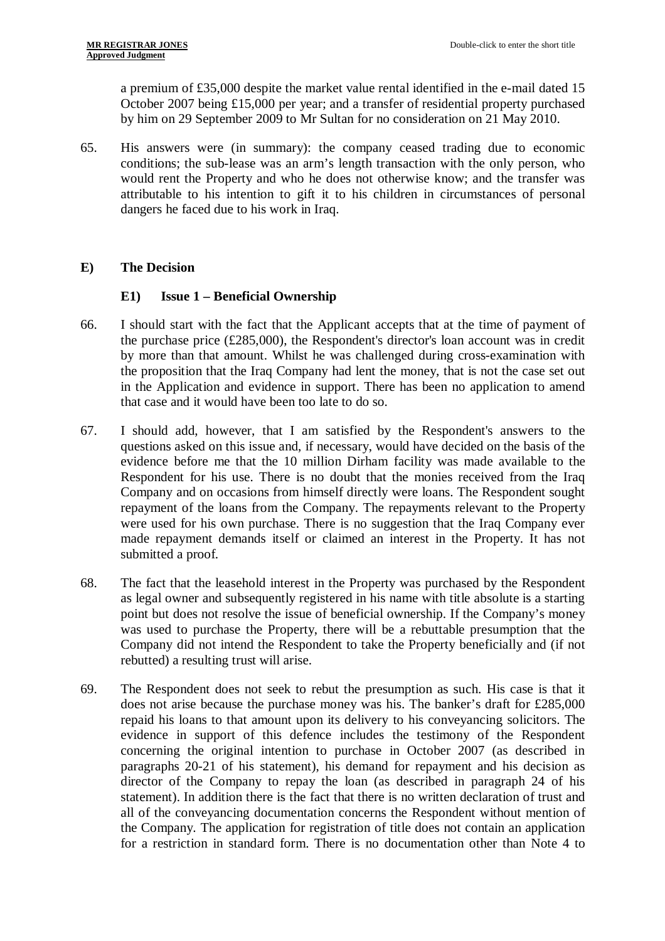a premium of £35,000 despite the market value rental identified in the e-mail dated 15 October 2007 being £15,000 per year; and a transfer of residential property purchased by him on 29 September 2009 to Mr Sultan for no consideration on 21 May 2010.

65. His answers were (in summary): the company ceased trading due to economic conditions; the sub-lease was an arm's length transaction with the only person, who would rent the Property and who he does not otherwise know; and the transfer was attributable to his intention to gift it to his children in circumstances of personal dangers he faced due to his work in Iraq.

## **E) The Decision**

## **E1) Issue 1 – Beneficial Ownership**

- 66. I should start with the fact that the Applicant accepts that at the time of payment of the purchase price (£285,000), the Respondent's director's loan account was in credit by more than that amount. Whilst he was challenged during cross-examination with the proposition that the Iraq Company had lent the money, that is not the case set out in the Application and evidence in support. There has been no application to amend that case and it would have been too late to do so.
- 67. I should add, however, that I am satisfied by the Respondent's answers to the questions asked on this issue and, if necessary, would have decided on the basis of the evidence before me that the 10 million Dirham facility was made available to the Respondent for his use. There is no doubt that the monies received from the Iraq Company and on occasions from himself directly were loans. The Respondent sought repayment of the loans from the Company. The repayments relevant to the Property were used for his own purchase. There is no suggestion that the Iraq Company ever made repayment demands itself or claimed an interest in the Property. It has not submitted a proof.
- 68. The fact that the leasehold interest in the Property was purchased by the Respondent as legal owner and subsequently registered in his name with title absolute is a starting point but does not resolve the issue of beneficial ownership. If the Company's money was used to purchase the Property, there will be a rebuttable presumption that the Company did not intend the Respondent to take the Property beneficially and (if not rebutted) a resulting trust will arise.
- 69. The Respondent does not seek to rebut the presumption as such. His case is that it does not arise because the purchase money was his. The banker's draft for £285,000 repaid his loans to that amount upon its delivery to his conveyancing solicitors. The evidence in support of this defence includes the testimony of the Respondent concerning the original intention to purchase in October 2007 (as described in paragraphs 20-21 of his statement), his demand for repayment and his decision as director of the Company to repay the loan (as described in paragraph 24 of his statement). In addition there is the fact that there is no written declaration of trust and all of the conveyancing documentation concerns the Respondent without mention of the Company. The application for registration of title does not contain an application for a restriction in standard form. There is no documentation other than Note 4 to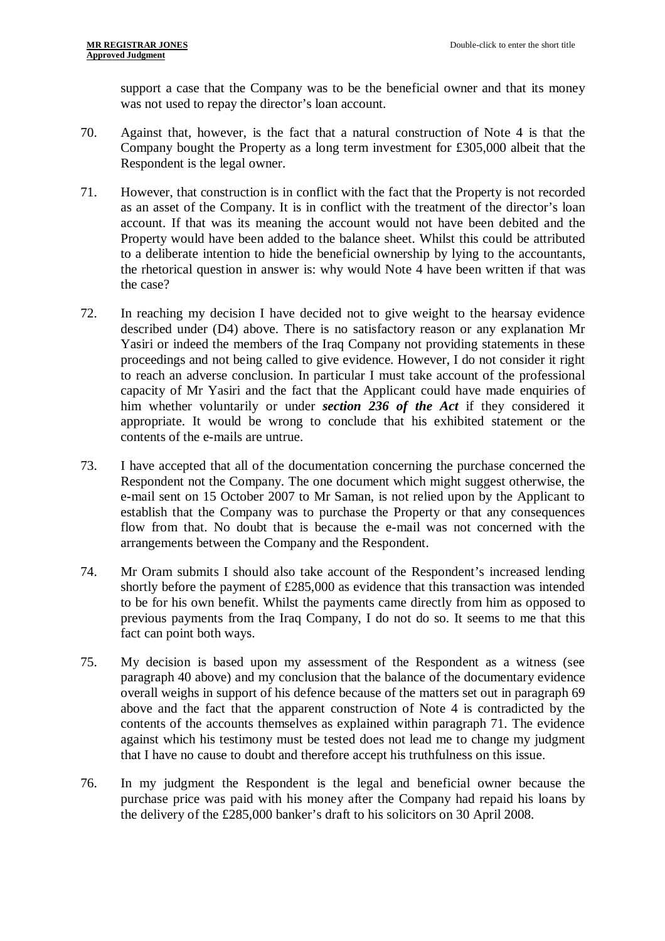support a case that the Company was to be the beneficial owner and that its money was not used to repay the director's loan account.

- 70. Against that, however, is the fact that a natural construction of Note 4 is that the Company bought the Property as a long term investment for £305,000 albeit that the Respondent is the legal owner.
- 71. However, that construction is in conflict with the fact that the Property is not recorded as an asset of the Company. It is in conflict with the treatment of the director's loan account. If that was its meaning the account would not have been debited and the Property would have been added to the balance sheet. Whilst this could be attributed to a deliberate intention to hide the beneficial ownership by lying to the accountants, the rhetorical question in answer is: why would Note 4 have been written if that was the case?
- 72. In reaching my decision I have decided not to give weight to the hearsay evidence described under (D4) above. There is no satisfactory reason or any explanation Mr Yasiri or indeed the members of the Iraq Company not providing statements in these proceedings and not being called to give evidence. However, I do not consider it right to reach an adverse conclusion. In particular I must take account of the professional capacity of Mr Yasiri and the fact that the Applicant could have made enquiries of him whether voluntarily or under *section 236 of the Act* if they considered it appropriate. It would be wrong to conclude that his exhibited statement or the contents of the e-mails are untrue.
- 73. I have accepted that all of the documentation concerning the purchase concerned the Respondent not the Company. The one document which might suggest otherwise, the e-mail sent on 15 October 2007 to Mr Saman, is not relied upon by the Applicant to establish that the Company was to purchase the Property or that any consequences flow from that. No doubt that is because the e-mail was not concerned with the arrangements between the Company and the Respondent.
- 74. Mr Oram submits I should also take account of the Respondent's increased lending shortly before the payment of £285,000 as evidence that this transaction was intended to be for his own benefit. Whilst the payments came directly from him as opposed to previous payments from the Iraq Company, I do not do so. It seems to me that this fact can point both ways.
- 75. My decision is based upon my assessment of the Respondent as a witness (see paragraph 40 above) and my conclusion that the balance of the documentary evidence overall weighs in support of his defence because of the matters set out in paragraph 69 above and the fact that the apparent construction of Note 4 is contradicted by the contents of the accounts themselves as explained within paragraph 71. The evidence against which his testimony must be tested does not lead me to change my judgment that I have no cause to doubt and therefore accept his truthfulness on this issue.
- 76. In my judgment the Respondent is the legal and beneficial owner because the purchase price was paid with his money after the Company had repaid his loans by the delivery of the £285,000 banker's draft to his solicitors on 30 April 2008.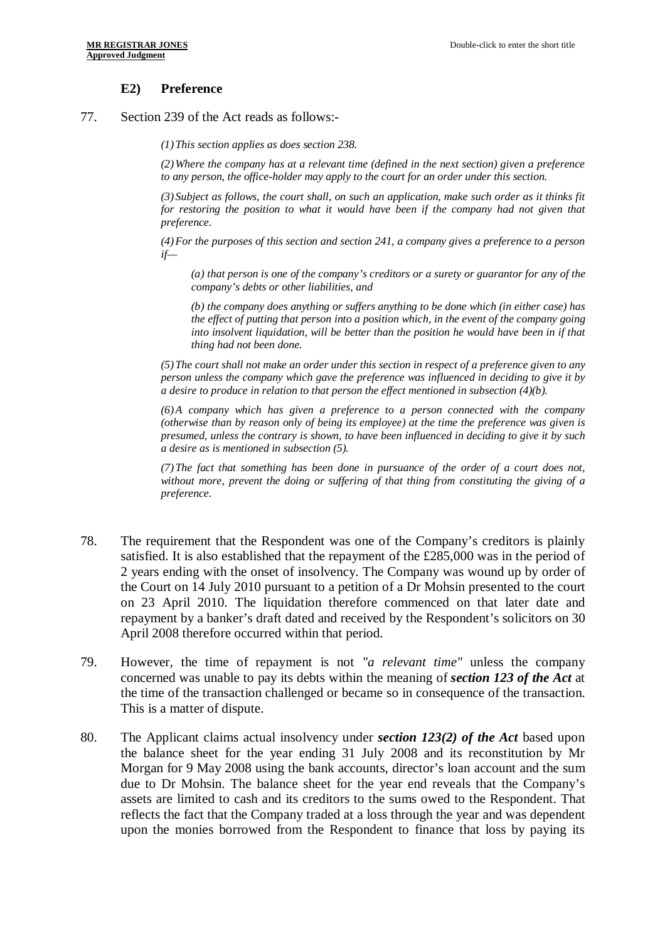#### **E2) Preference**

77. Section 239 of the Act reads as follows:-

*(1)This section applies as does section 238.*

*(2)Where the company has at a relevant time (defined in the next section) given a preference to any person, the office-holder may apply to the court for an order under this section.*

*(3)Subject as follows, the court shall, on such an application, make such order as it thinks fit for restoring the position to what it would have been if the company had not given that preference.*

*(4)For the purposes of this section and section 241, a company gives a preference to a person if—*

*(a) that person is one of the company's creditors or a surety or guarantor for any of the company's debts or other liabilities, and*

*(b) the company does anything or suffers anything to be done which (in either case) has the effect of putting that person into a position which, in the event of the company going into insolvent liquidation, will be better than the position he would have been in if that thing had not been done.*

*(5)The court shall not make an order under this section in respect of a preference given to any person unless the company which gave the preference was influenced in deciding to give it by a desire to produce in relation to that person the effect mentioned in subsection (4)(b).*

*(6)A company which has given a preference to a person connected with the company (otherwise than by reason only of being its employee) at the time the preference was given is presumed, unless the contrary is shown, to have been influenced in deciding to give it by such a desire as is mentioned in subsection (5).*

*(7)The fact that something has been done in pursuance of the order of a court does not, without more, prevent the doing or suffering of that thing from constituting the giving of a preference.*

- 78. The requirement that the Respondent was one of the Company's creditors is plainly satisfied. It is also established that the repayment of the £285,000 was in the period of 2 years ending with the onset of insolvency. The Company was wound up by order of the Court on 14 July 2010 pursuant to a petition of a Dr Mohsin presented to the court on 23 April 2010. The liquidation therefore commenced on that later date and repayment by a banker's draft dated and received by the Respondent's solicitors on 30 April 2008 therefore occurred within that period.
- 79. However, the time of repayment is not *"a relevant time"* unless the company concerned was unable to pay its debts within the meaning of *section 123 of the Act* at the time of the transaction challenged or became so in consequence of the transaction. This is a matter of dispute.
- 80. The Applicant claims actual insolvency under *section 123(2) of the Act* based upon the balance sheet for the year ending 31 July 2008 and its reconstitution by Mr Morgan for 9 May 2008 using the bank accounts, director's loan account and the sum due to Dr Mohsin. The balance sheet for the year end reveals that the Company's assets are limited to cash and its creditors to the sums owed to the Respondent. That reflects the fact that the Company traded at a loss through the year and was dependent upon the monies borrowed from the Respondent to finance that loss by paying its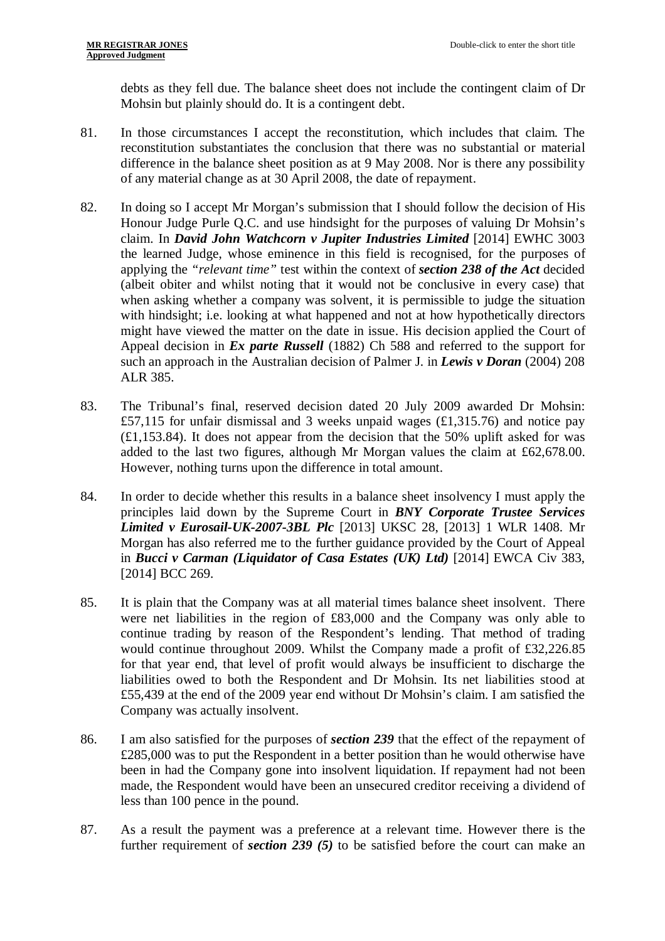debts as they fell due. The balance sheet does not include the contingent claim of Dr Mohsin but plainly should do. It is a contingent debt.

- 81. In those circumstances I accept the reconstitution, which includes that claim. The reconstitution substantiates the conclusion that there was no substantial or material difference in the balance sheet position as at 9 May 2008. Nor is there any possibility of any material change as at 30 April 2008, the date of repayment.
- 82. In doing so I accept Mr Morgan's submission that I should follow the decision of His Honour Judge Purle Q.C. and use hindsight for the purposes of valuing Dr Mohsin's claim. In *David John Watchcorn v Jupiter Industries Limited* [2014] EWHC 3003 the learned Judge, whose eminence in this field is recognised, for the purposes of applying the *"relevant time"* test within the context of *section 238 of the Act* decided (albeit obiter and whilst noting that it would not be conclusive in every case) that when asking whether a company was solvent, it is permissible to judge the situation with hindsight; i.e. looking at what happened and not at how hypothetically directors might have viewed the matter on the date in issue. His decision applied the Court of Appeal decision in *Ex parte Russell* (1882) Ch 588 and referred to the support for such an approach in the Australian decision of Palmer J. in *Lewis v Doran* (2004) 208 ALR 385.
- 83. The Tribunal's final, reserved decision dated 20 July 2009 awarded Dr Mohsin: £57,115 for unfair dismissal and 3 weeks unpaid wages (£1,315.76) and notice pay (£1,153.84). It does not appear from the decision that the 50% uplift asked for was added to the last two figures, although Mr Morgan values the claim at £62,678.00. However, nothing turns upon the difference in total amount.
- 84. In order to decide whether this results in a balance sheet insolvency I must apply the principles laid down by the Supreme Court in *BNY Corporate Trustee Services Limited v Eurosail-UK-2007-3BL Plc* [2013] UKSC 28, [2013] 1 WLR 1408. Mr Morgan has also referred me to the further guidance provided by the Court of Appeal in *Bucci v Carman (Liquidator of Casa Estates (UK) Ltd)* [2014] EWCA Civ 383, [2014] BCC 269.
- 85. It is plain that the Company was at all material times balance sheet insolvent. There were net liabilities in the region of £83,000 and the Company was only able to continue trading by reason of the Respondent's lending. That method of trading would continue throughout 2009. Whilst the Company made a profit of £32,226.85 for that year end, that level of profit would always be insufficient to discharge the liabilities owed to both the Respondent and Dr Mohsin. Its net liabilities stood at £55,439 at the end of the 2009 year end without Dr Mohsin's claim. I am satisfied the Company was actually insolvent.
- 86. I am also satisfied for the purposes of *section 239* that the effect of the repayment of £285,000 was to put the Respondent in a better position than he would otherwise have been in had the Company gone into insolvent liquidation. If repayment had not been made, the Respondent would have been an unsecured creditor receiving a dividend of less than 100 pence in the pound.
- 87. As a result the payment was a preference at a relevant time. However there is the further requirement of *section 239 (5)* to be satisfied before the court can make an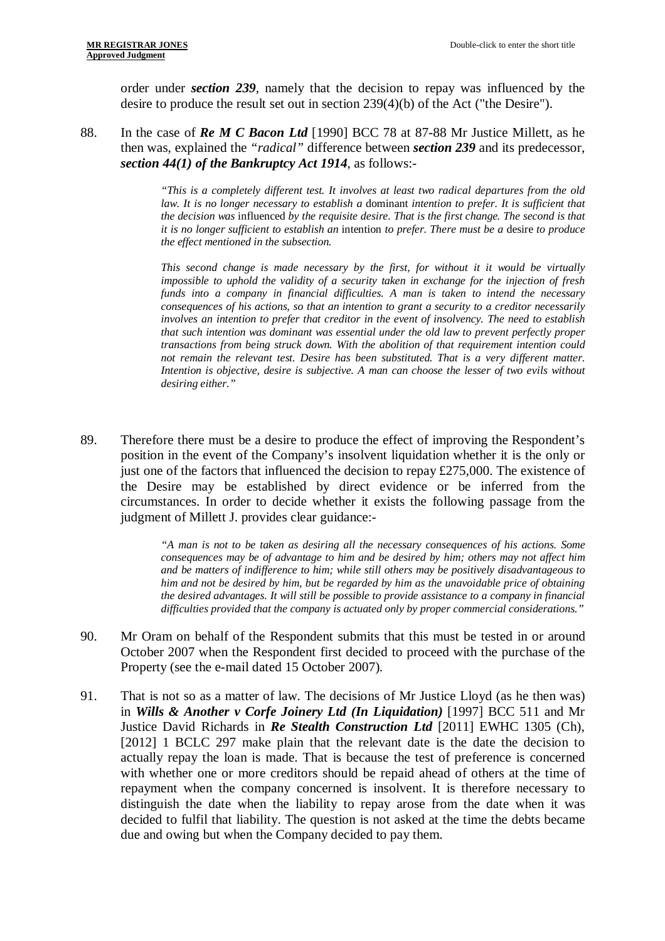order under *section 239*, namely that the decision to repay was influenced by the desire to produce the result set out in section 239(4)(b) of the Act ("the Desire").

88. In the case of *Re M C Bacon Ltd* [1990] BCC 78 at 87-88 Mr Justice Millett, as he then was, explained the *"radical"* difference between *section 239* and its predecessor, *section 44(1) of the Bankruptcy Act 1914*, as follows:-

> *"This is a completely different test. It involves at least two radical departures from the old law. It is no longer necessary to establish a* dominant *intention to prefer. It is sufficient that the decision was* influenced *by the requisite desire. That is the first change. The second is that it is no longer sufficient to establish an* intention *to prefer. There must be a* desire *to produce the effect mentioned in the subsection.*

> *This second change is made necessary by the first, for without it it would be virtually impossible to uphold the validity of a security taken in exchange for the injection of fresh funds into a company in financial difficulties. A man is taken to intend the necessary consequences of his actions, so that an intention to grant a security to a creditor necessarily involves an intention to prefer that creditor in the event of insolvency. The need to establish that such intention was dominant was essential under the old law to prevent perfectly proper transactions from being struck down. With the abolition of that requirement intention could not remain the relevant test. Desire has been substituted. That is a very different matter. Intention is objective, desire is subjective. A man can choose the lesser of two evils without desiring either."*

89. Therefore there must be a desire to produce the effect of improving the Respondent's position in the event of the Company's insolvent liquidation whether it is the only or just one of the factors that influenced the decision to repay £275,000. The existence of the Desire may be established by direct evidence or be inferred from the circumstances. In order to decide whether it exists the following passage from the judgment of Millett J. provides clear guidance:-

> *"A man is not to be taken as desiring all the necessary consequences of his actions. Some consequences may be of advantage to him and be desired by him; others may not affect him and be matters of indifference to him; while still others may be positively disadvantageous to him and not be desired by him, but be regarded by him as the unavoidable price of obtaining the desired advantages. It will still be possible to provide assistance to a company in financial difficulties provided that the company is actuated only by proper commercial considerations."*

- 90. Mr Oram on behalf of the Respondent submits that this must be tested in or around October 2007 when the Respondent first decided to proceed with the purchase of the Property (see the e-mail dated 15 October 2007).
- 91. That is not so as a matter of law. The decisions of Mr Justice Lloyd (as he then was) in *Wills & Another v Corfe Joinery Ltd (In Liquidation)* [1997] BCC 511 and Mr Justice David Richards in *Re Stealth Construction Ltd* [2011] EWHC 1305 (Ch), [2012] 1 BCLC 297 make plain that the relevant date is the date the decision to actually repay the loan is made. That is because the test of preference is concerned with whether one or more creditors should be repaid ahead of others at the time of repayment when the company concerned is insolvent. It is therefore necessary to distinguish the date when the liability to repay arose from the date when it was decided to fulfil that liability. The question is not asked at the time the debts became due and owing but when the Company decided to pay them.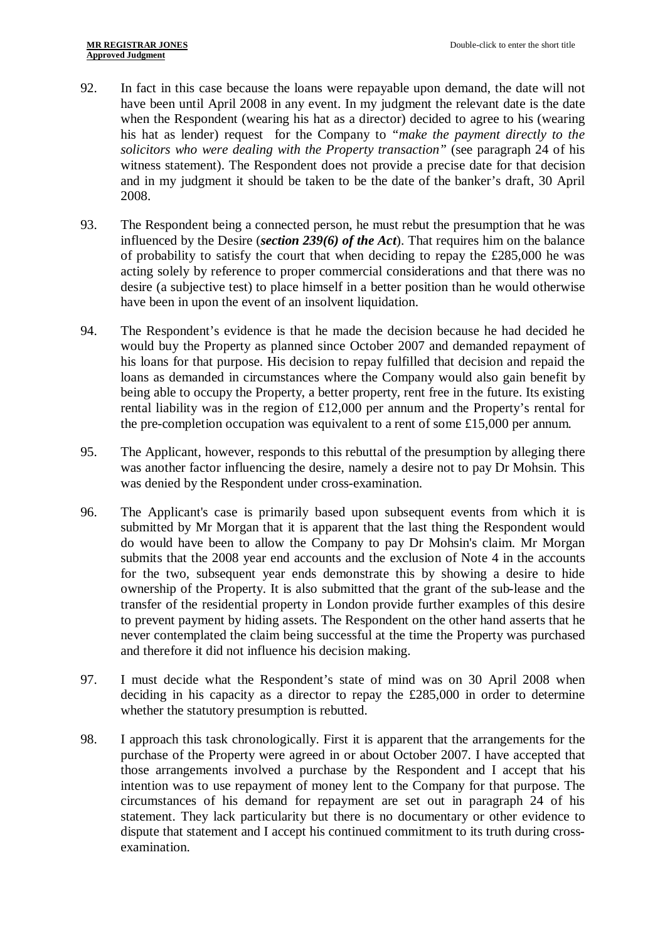- 92. In fact in this case because the loans were repayable upon demand, the date will not have been until April 2008 in any event. In my judgment the relevant date is the date when the Respondent (wearing his hat as a director) decided to agree to his (wearing his hat as lender) request for the Company to *"make the payment directly to the solicitors who were dealing with the Property transaction"* (see paragraph 24 of his witness statement). The Respondent does not provide a precise date for that decision and in my judgment it should be taken to be the date of the banker's draft, 30 April 2008.
- 93. The Respondent being a connected person, he must rebut the presumption that he was influenced by the Desire (*section 239(6) of the Act*). That requires him on the balance of probability to satisfy the court that when deciding to repay the £285,000 he was acting solely by reference to proper commercial considerations and that there was no desire (a subjective test) to place himself in a better position than he would otherwise have been in upon the event of an insolvent liquidation.
- 94. The Respondent's evidence is that he made the decision because he had decided he would buy the Property as planned since October 2007 and demanded repayment of his loans for that purpose. His decision to repay fulfilled that decision and repaid the loans as demanded in circumstances where the Company would also gain benefit by being able to occupy the Property, a better property, rent free in the future. Its existing rental liability was in the region of £12,000 per annum and the Property's rental for the pre-completion occupation was equivalent to a rent of some £15,000 per annum.
- 95. The Applicant, however, responds to this rebuttal of the presumption by alleging there was another factor influencing the desire, namely a desire not to pay Dr Mohsin. This was denied by the Respondent under cross-examination.
- 96. The Applicant's case is primarily based upon subsequent events from which it is submitted by Mr Morgan that it is apparent that the last thing the Respondent would do would have been to allow the Company to pay Dr Mohsin's claim. Mr Morgan submits that the 2008 year end accounts and the exclusion of Note 4 in the accounts for the two, subsequent year ends demonstrate this by showing a desire to hide ownership of the Property. It is also submitted that the grant of the sub-lease and the transfer of the residential property in London provide further examples of this desire to prevent payment by hiding assets. The Respondent on the other hand asserts that he never contemplated the claim being successful at the time the Property was purchased and therefore it did not influence his decision making.
- 97. I must decide what the Respondent's state of mind was on 30 April 2008 when deciding in his capacity as a director to repay the £285,000 in order to determine whether the statutory presumption is rebutted.
- 98. I approach this task chronologically. First it is apparent that the arrangements for the purchase of the Property were agreed in or about October 2007. I have accepted that those arrangements involved a purchase by the Respondent and I accept that his intention was to use repayment of money lent to the Company for that purpose. The circumstances of his demand for repayment are set out in paragraph 24 of his statement. They lack particularity but there is no documentary or other evidence to dispute that statement and I accept his continued commitment to its truth during crossexamination.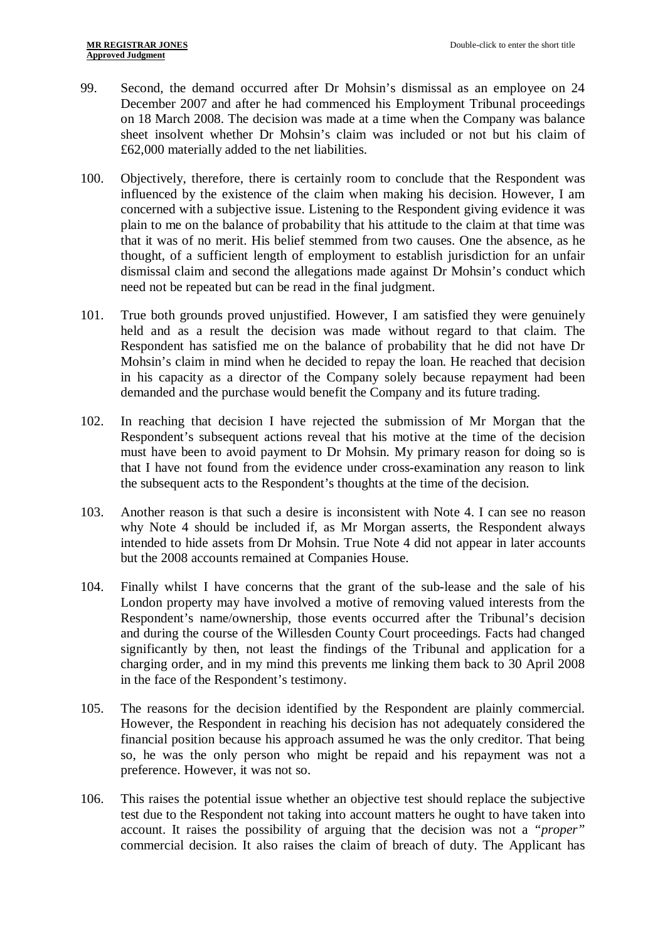- 99. Second, the demand occurred after Dr Mohsin's dismissal as an employee on 24 December 2007 and after he had commenced his Employment Tribunal proceedings on 18 March 2008. The decision was made at a time when the Company was balance sheet insolvent whether Dr Mohsin's claim was included or not but his claim of £62,000 materially added to the net liabilities.
- 100. Objectively, therefore, there is certainly room to conclude that the Respondent was influenced by the existence of the claim when making his decision. However, I am concerned with a subjective issue. Listening to the Respondent giving evidence it was plain to me on the balance of probability that his attitude to the claim at that time was that it was of no merit. His belief stemmed from two causes. One the absence, as he thought, of a sufficient length of employment to establish jurisdiction for an unfair dismissal claim and second the allegations made against Dr Mohsin's conduct which need not be repeated but can be read in the final judgment.
- 101. True both grounds proved unjustified. However, I am satisfied they were genuinely held and as a result the decision was made without regard to that claim. The Respondent has satisfied me on the balance of probability that he did not have Dr Mohsin's claim in mind when he decided to repay the loan. He reached that decision in his capacity as a director of the Company solely because repayment had been demanded and the purchase would benefit the Company and its future trading.
- 102. In reaching that decision I have rejected the submission of Mr Morgan that the Respondent's subsequent actions reveal that his motive at the time of the decision must have been to avoid payment to Dr Mohsin. My primary reason for doing so is that I have not found from the evidence under cross-examination any reason to link the subsequent acts to the Respondent's thoughts at the time of the decision.
- 103. Another reason is that such a desire is inconsistent with Note 4. I can see no reason why Note 4 should be included if, as Mr Morgan asserts, the Respondent always intended to hide assets from Dr Mohsin. True Note 4 did not appear in later accounts but the 2008 accounts remained at Companies House.
- 104. Finally whilst I have concerns that the grant of the sub-lease and the sale of his London property may have involved a motive of removing valued interests from the Respondent's name/ownership, those events occurred after the Tribunal's decision and during the course of the Willesden County Court proceedings. Facts had changed significantly by then, not least the findings of the Tribunal and application for a charging order, and in my mind this prevents me linking them back to 30 April 2008 in the face of the Respondent's testimony.
- 105. The reasons for the decision identified by the Respondent are plainly commercial. However, the Respondent in reaching his decision has not adequately considered the financial position because his approach assumed he was the only creditor. That being so, he was the only person who might be repaid and his repayment was not a preference. However, it was not so.
- 106. This raises the potential issue whether an objective test should replace the subjective test due to the Respondent not taking into account matters he ought to have taken into account. It raises the possibility of arguing that the decision was not a *"proper"* commercial decision. It also raises the claim of breach of duty. The Applicant has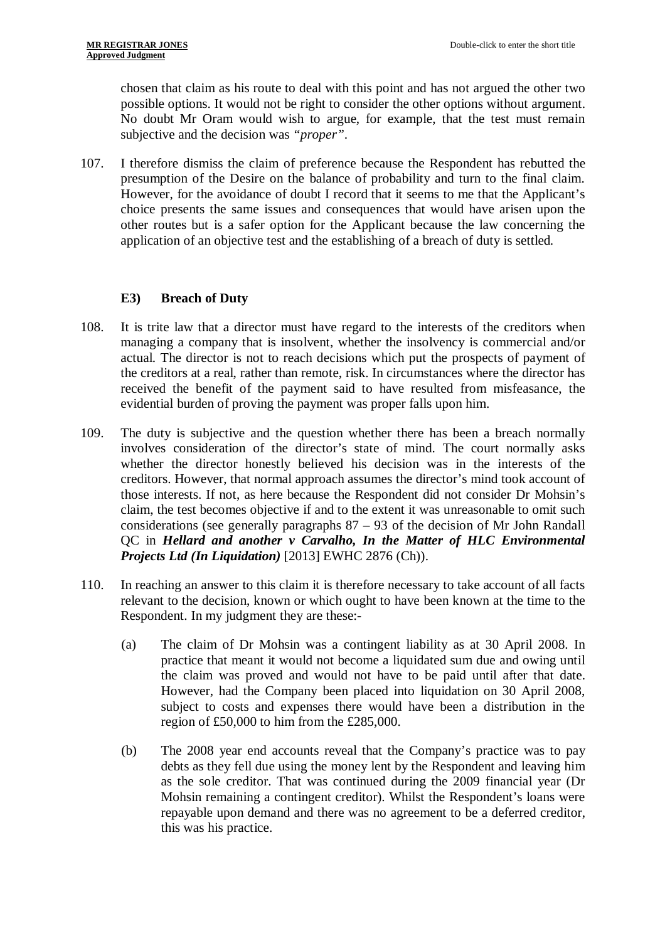chosen that claim as his route to deal with this point and has not argued the other two possible options. It would not be right to consider the other options without argument. No doubt Mr Oram would wish to argue, for example, that the test must remain subjective and the decision was *"proper"*.

107. I therefore dismiss the claim of preference because the Respondent has rebutted the presumption of the Desire on the balance of probability and turn to the final claim. However, for the avoidance of doubt I record that it seems to me that the Applicant's choice presents the same issues and consequences that would have arisen upon the other routes but is a safer option for the Applicant because the law concerning the application of an objective test and the establishing of a breach of duty is settled.

## **E3) Breach of Duty**

- 108. It is trite law that a director must have regard to the interests of the creditors when managing a company that is insolvent, whether the insolvency is commercial and/or actual. The director is not to reach decisions which put the prospects of payment of the creditors at a real, rather than remote, risk. In circumstances where the director has received the benefit of the payment said to have resulted from misfeasance, the evidential burden of proving the payment was proper falls upon him.
- 109. The duty is subjective and the question whether there has been a breach normally involves consideration of the director's state of mind. The court normally asks whether the director honestly believed his decision was in the interests of the creditors. However, that normal approach assumes the director's mind took account of those interests. If not, as here because the Respondent did not consider Dr Mohsin's claim, the test becomes objective if and to the extent it was unreasonable to omit such considerations (see generally paragraphs  $87 - 93$  of the decision of Mr John Randall QC in *Hellard and another v Carvalho, In the Matter of HLC Environmental Projects Ltd (In Liquidation)* [2013] EWHC 2876 (Ch)).
- 110. In reaching an answer to this claim it is therefore necessary to take account of all facts relevant to the decision, known or which ought to have been known at the time to the Respondent. In my judgment they are these:-
	- (a) The claim of Dr Mohsin was a contingent liability as at 30 April 2008. In practice that meant it would not become a liquidated sum due and owing until the claim was proved and would not have to be paid until after that date. However, had the Company been placed into liquidation on 30 April 2008, subject to costs and expenses there would have been a distribution in the region of £50,000 to him from the £285,000.
	- (b) The 2008 year end accounts reveal that the Company's practice was to pay debts as they fell due using the money lent by the Respondent and leaving him as the sole creditor. That was continued during the 2009 financial year (Dr Mohsin remaining a contingent creditor). Whilst the Respondent's loans were repayable upon demand and there was no agreement to be a deferred creditor, this was his practice.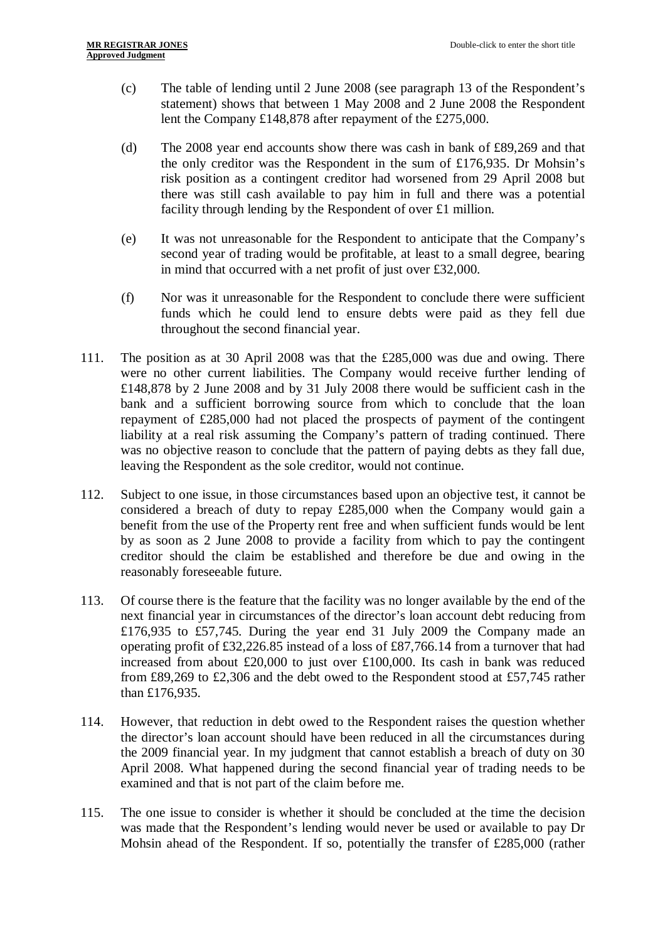- (c) The table of lending until 2 June 2008 (see paragraph 13 of the Respondent's statement) shows that between 1 May 2008 and 2 June 2008 the Respondent lent the Company £148,878 after repayment of the £275,000.
- (d) The 2008 year end accounts show there was cash in bank of £89,269 and that the only creditor was the Respondent in the sum of £176,935. Dr Mohsin's risk position as a contingent creditor had worsened from 29 April 2008 but there was still cash available to pay him in full and there was a potential facility through lending by the Respondent of over £1 million.
- (e) It was not unreasonable for the Respondent to anticipate that the Company's second year of trading would be profitable, at least to a small degree, bearing in mind that occurred with a net profit of just over £32,000.
- (f) Nor was it unreasonable for the Respondent to conclude there were sufficient funds which he could lend to ensure debts were paid as they fell due throughout the second financial year.
- 111. The position as at 30 April 2008 was that the £285,000 was due and owing. There were no other current liabilities. The Company would receive further lending of £148,878 by 2 June 2008 and by 31 July 2008 there would be sufficient cash in the bank and a sufficient borrowing source from which to conclude that the loan repayment of £285,000 had not placed the prospects of payment of the contingent liability at a real risk assuming the Company's pattern of trading continued. There was no objective reason to conclude that the pattern of paying debts as they fall due, leaving the Respondent as the sole creditor, would not continue.
- 112. Subject to one issue, in those circumstances based upon an objective test, it cannot be considered a breach of duty to repay £285,000 when the Company would gain a benefit from the use of the Property rent free and when sufficient funds would be lent by as soon as 2 June 2008 to provide a facility from which to pay the contingent creditor should the claim be established and therefore be due and owing in the reasonably foreseeable future.
- 113. Of course there is the feature that the facility was no longer available by the end of the next financial year in circumstances of the director's loan account debt reducing from £176,935 to £57,745. During the year end 31 July 2009 the Company made an operating profit of £32,226.85 instead of a loss of £87,766.14 from a turnover that had increased from about £20,000 to just over £100,000. Its cash in bank was reduced from £89,269 to £2,306 and the debt owed to the Respondent stood at £57,745 rather than £176,935.
- 114. However, that reduction in debt owed to the Respondent raises the question whether the director's loan account should have been reduced in all the circumstances during the 2009 financial year. In my judgment that cannot establish a breach of duty on 30 April 2008. What happened during the second financial year of trading needs to be examined and that is not part of the claim before me.
- 115. The one issue to consider is whether it should be concluded at the time the decision was made that the Respondent's lending would never be used or available to pay Dr Mohsin ahead of the Respondent. If so, potentially the transfer of £285,000 (rather